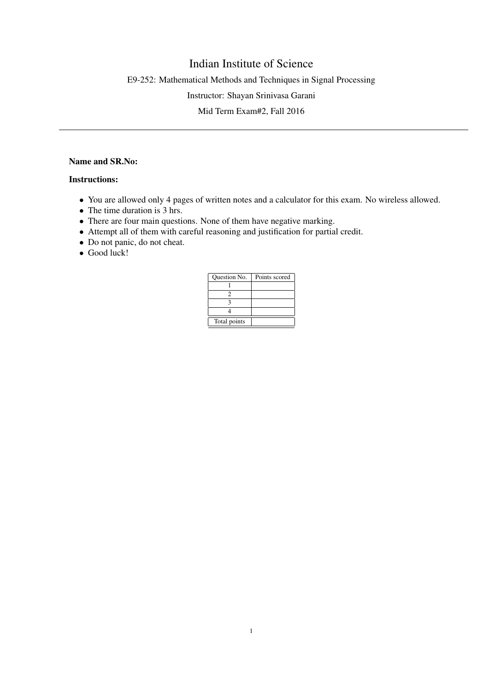## Indian Institute of Science

E9-252: Mathematical Methods and Techniques in Signal Processing

Instructor: Shayan Srinivasa Garani

Mid Term Exam#2, Fall 2016

## Name and SR.No:

## Instructions:

- You are allowed only 4 pages of written notes and a calculator for this exam. No wireless allowed.
- The time duration is 3 hrs.
- There are four main questions. None of them have negative marking.
- Attempt all of them with careful reasoning and justification for partial credit.
- Do not panic, do not cheat.
- Good luck!

| <b>Ouestion No.</b> | Points scored |
|---------------------|---------------|
|                     |               |
|                     |               |
|                     |               |
|                     |               |
| Total points        |               |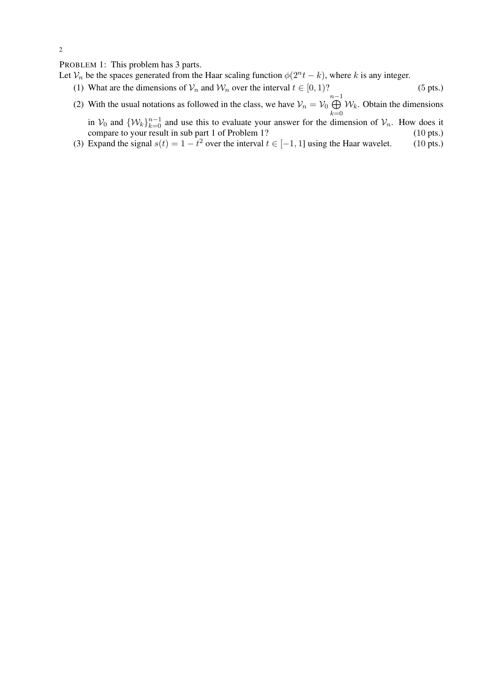PROBLEM 1: This problem has 3 parts.

Let  $\mathcal{V}_n$  be the spaces generated from the Haar scaling function  $\phi(2^n t - k)$ , where k is any integer.

- (1) What are the dimensions of  $V_n$  and  $W_n$  over the interval  $t \in [0, 1)$ ? (5 pts.)
- (2) With the usual notations as followed in the class, we have  $\mathcal{V}_n = \mathcal{V}_0 \bigoplus^{n-1}$  $k=0$  $W_k$ . Obtain the dimensions
	- in  $V_0$  and  $\{W_k\}_{k=0}^{n-1}$  and use this to evaluate your answer for the dimension of  $V_n$ . How does it compare to your result in sub part 1 of Problem 1? (10 pts.)
- (3) Expand the signal  $s(t) = 1 t^2$  over the interval  $t \in [-1, 1]$  using the Haar wavelet. (10 pts.)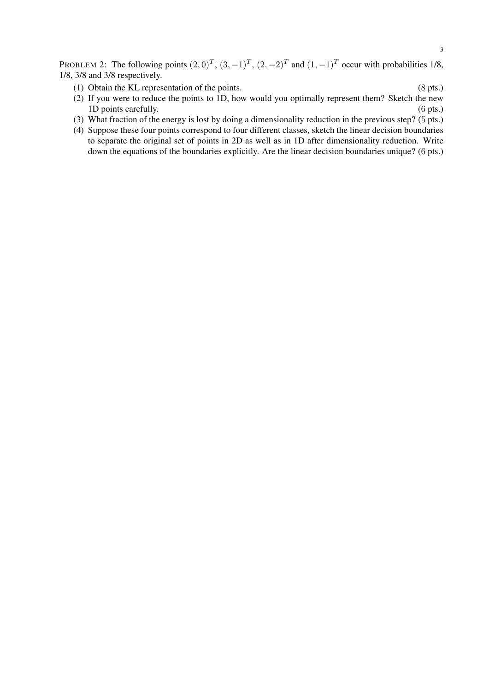PROBLEM 2: The following points  $(2,0)^T$ ,  $(3,-1)^T$ ,  $(2,-2)^T$  and  $(1,-1)^T$  occur with probabilities 1/8, 1/8, 3/8 and 3/8 respectively.

- (1) Obtain the KL representation of the points. (8 pts.)
- (2) If you were to reduce the points to 1D, how would you optimally represent them? Sketch the new 1D points carefully. (6 pts.)
- (3) What fraction of the energy is lost by doing a dimensionality reduction in the previous step? (5 pts.)
- (4) Suppose these four points correspond to four different classes, sketch the linear decision boundaries to separate the original set of points in 2D as well as in 1D after dimensionality reduction. Write down the equations of the boundaries explicitly. Are the linear decision boundaries unique? (6 pts.)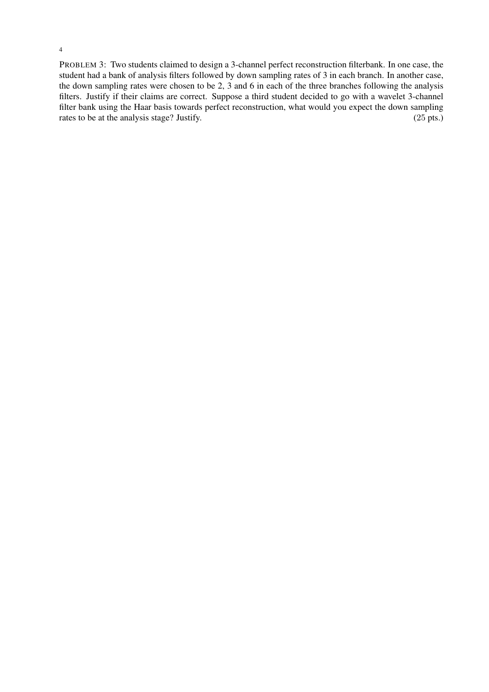PROBLEM 3: Two students claimed to design a 3-channel perfect reconstruction filterbank. In one case, the student had a bank of analysis filters followed by down sampling rates of 3 in each branch. In another case, the down sampling rates were chosen to be 2, 3 and 6 in each of the three branches following the analysis filters. Justify if their claims are correct. Suppose a third student decided to go with a wavelet 3-channel filter bank using the Haar basis towards perfect reconstruction, what would you expect the down sampling rates to be at the analysis stage? Justify.  $(25 \text{ pts.})$ 

4